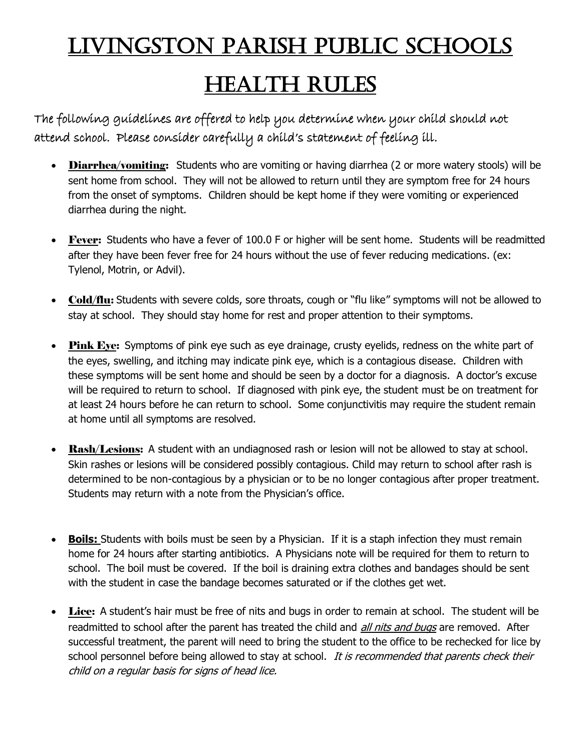## LIVINGSTON PARISH PUBLIC SCHOOLS

## HEALTH RULES

The following guidelines are offered to help you determine when your child should not attend school. Please consider carefully a child's statement of feeling ill.

- Diarrhea/vomiting: Students who are vomiting or having diarrhea (2 or more watery stools) will be sent home from school. They will not be allowed to return until they are symptom free for 24 hours from the onset of symptoms. Children should be kept home if they were vomiting or experienced diarrhea during the night.
- Fever: Students who have a fever of 100.0 F or higher will be sent home. Students will be readmitted after they have been fever free for 24 hours without the use of fever reducing medications. (ex: Tylenol, Motrin, or Advil).
- Cold/flu: Students with severe colds, sore throats, cough or "flu like" symptoms will not be allowed to stay at school. They should stay home for rest and proper attention to their symptoms.
- Pink Eye: Symptoms of pink eye such as eye drainage, crusty eyelids, redness on the white part of the eyes, swelling, and itching may indicate pink eye, which is a contagious disease. Children with these symptoms will be sent home and should be seen by a doctor for a diagnosis. A doctor's excuse will be required to return to school. If diagnosed with pink eye, the student must be on treatment for at least 24 hours before he can return to school. Some conjunctivitis may require the student remain at home until all symptoms are resolved.
- Rash/Lesions: A student with an undiagnosed rash or lesion will not be allowed to stay at school. Skin rashes or lesions will be considered possibly contagious. Child may return to school after rash is determined to be non-contagious by a physician or to be no longer contagious after proper treatment. Students may return with a note from the Physician's office.
- **Boils:** Students with boils must be seen by a Physician. If it is a staph infection they must remain home for 24 hours after starting antibiotics. A Physicians note will be required for them to return to school. The boil must be covered. If the boil is draining extra clothes and bandages should be sent with the student in case the bandage becomes saturated or if the clothes get wet.
- Lice: A student's hair must be free of nits and bugs in order to remain at school. The student will be readmitted to school after the parent has treated the child and *all nits and bugs* are removed. After successful treatment, the parent will need to bring the student to the office to be rechecked for lice by school personnel before being allowed to stay at school. It is recommended that parents check their child on a regular basis for signs of head lice.